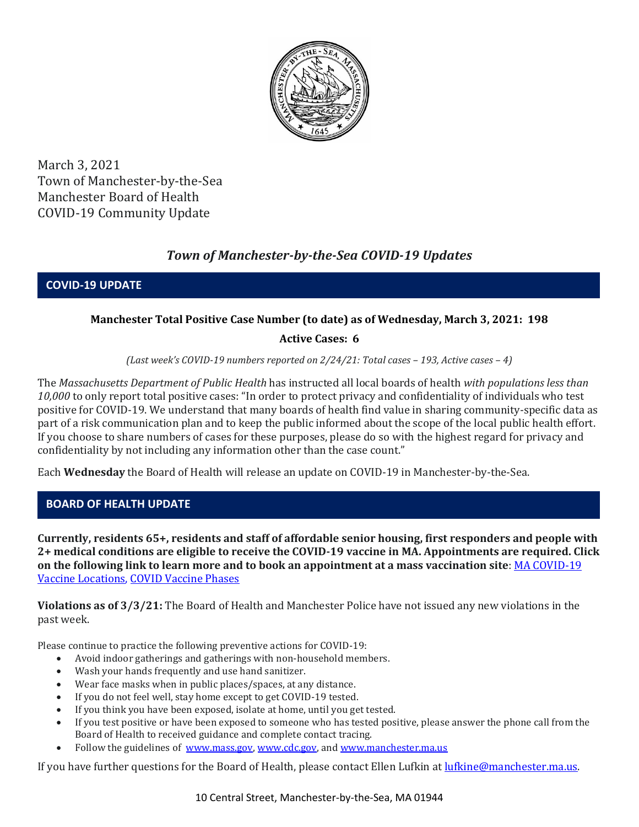

March 3, 2021 Town of Manchester-by-the-Sea Manchester Board of Health COVID-19 Community Update

# *Town of Manchester-by-the-Sea COVID-19 Updates*

**COVID-19 UPDATE**

# **Manchester Total Positive Case Number (to date) as of Wednesday, March 3, 2021: 198**

# **Active Cases: 6**

*(Last week's COVID-19 numbers reported on 2/24/21: Total cases – 193, Active cases – 4)*

The *Massachusetts Department of Public Health* has instructed all local boards of health *with populations less than 10,000* to only report total positive cases: "In order to protect privacy and confidentiality of individuals who test positive for COVID-19. We understand that many boards of health find value in sharing community-specific data as part of a risk communication plan and to keep the public informed about the scope of the local public health effort. If you choose to share numbers of cases for these purposes, please do so with the highest regard for privacy and confidentiality by not including any information other than the case count."

Each **Wednesday** the Board of Health will release an update on COVID-19 in Manchester-by-the-Sea.

# **BOARD OF HEALTH UPDATE**

**Currently, residents 65+, residents and staff of affordable senior housing, first responders and people with 2+ medical conditions are eligible to receive the COVID-19 vaccine in MA. Appointments are required. Click on the following link to learn more and to book an appointment at a mass vaccination site**[: MA COVID-19](https://www.mass.gov/info-details/covid-19-vaccination-locations)  [Vaccine Locations, COVID Vaccine Phases](https://www.mass.gov/info-details/covid-19-vaccination-locations)

**Violations as of 3/3/21:** The Board of Health and Manchester Police have not issued any new violations in the past week.

Please continue to practice the following preventive actions for COVID-19:

- Avoid indoor gatherings and gatherings with non-household members.
- Wash your hands frequently and use hand sanitizer.
- Wear face masks when in public places/spaces, at any distance.
- If you do not feel well, stay home except to get COVID-19 tested.
- If you think you have been exposed, isolate at home, until you get tested.
- If you test positive or have been exposed to someone who has tested positive, please answer the phone call from the Board of Health to received guidance and complete contact tracing.
- Follow the guidelines of [www.mass.gov,](http://www.mass.gov/) [www.cdc.gov,](https://www.cdc.gov/) an[d www.manchester.ma.us](http://www.manchester.ma.us/)

If you have further questions for the Board of Health, please contact Ellen Lufkin at [lufkine@manchester.ma.us.](mailto:lufkine@manchester.ma.us)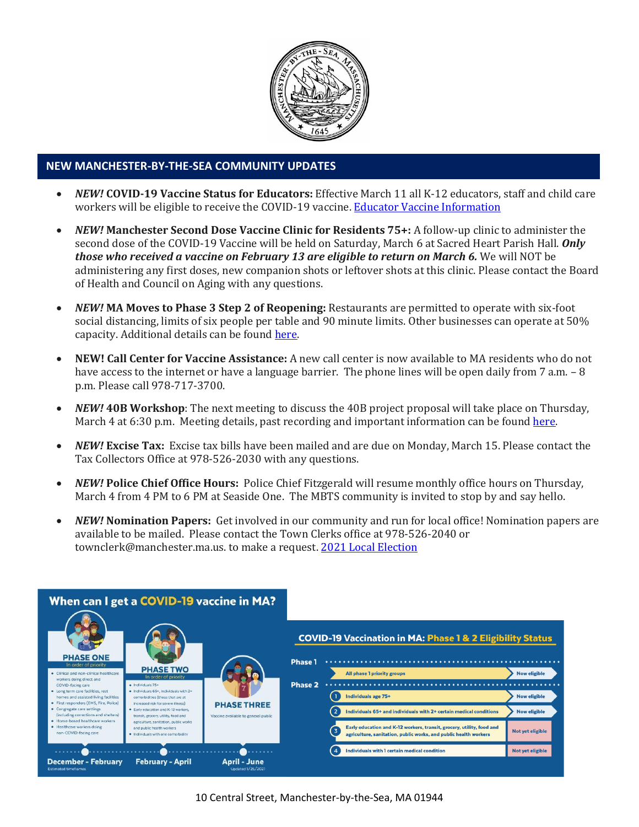

#### **NEW MANCHESTER-BY-THE-SEA COMMUNITY UPDATES**

- *NEW!* **COVID-19 Vaccine Status for Educators:** Effective March 11 all K-12 educators, staff and child care workers will be eligible to receive the COVID-19 vaccine[. Educator Vaccine Information](https://www.mass.gov/news/baker-polito-administration-announces-k-12-educators-child-care-workers-and-k-12-school-staff)
- *NEW!* **Manchester Second Dose Vaccine Clinic for Residents 75+:** A follow-up clinic to administer the second dose of the COVID-19 Vaccine will be held on Saturday, March 6 at Sacred Heart Parish Hall. *Only those who received a vaccine on February 13 are eligible to return on March 6.* We will NOT be administering any first doses, new companion shots or leftover shots at this clinic. Please contact the Board of Health and Council on Aging with any questions.
- *NEW!* **MA Moves to Phase 3 Step 2 of Reopening:** Restaurants are permitted to operate with six-foot social distancing, limits of six people per table and 90 minute limits. Other businesses can operate at 50% capacity. Additional details can be foun[d here.](https://www.mass.gov/news/baker-polito-administration-announces-plans-for-continued-reopening)
- **NEW! Call Center for Vaccine Assistance:** A new call center is now available to MA residents who do not have access to the internet or have a language barrier. The phone lines will be open daily from 7 a.m.  $-8$ p.m. Please call 978-717-3700.
- *NEW!* **40B Workshop**: The next meeting to discuss the 40B project proposal will take place on Thursday, March 4 at 6:30 p.m. Meeting details, past recording and important information can be found [here.](http://manchester.ma.us/729/40B)
- *NEW!* **Excise Tax:** Excise tax bills have been mailed and are due on Monday, March 15. Please contact the Tax Collectors Office at 978-526-2030 with any questions.
- *NEW!* **Police Chief Office Hours:** Police Chief Fitzgerald will resume monthly office hours on Thursday, March 4 from 4 PM to 6 PM at Seaside One. The MBTS community is invited to stop by and say hello.
- *NEW!* **Nomination Papers:** Get involved in our community and run for local office! Nomination papers are available to be mailed. Please contact the Town Clerks office at 978-526-2040 or townclerk@manchester.ma.us. to make a request[. 2021 Local Election](http://manchester.ma.us/503/Town-Meetings-and-Elections)

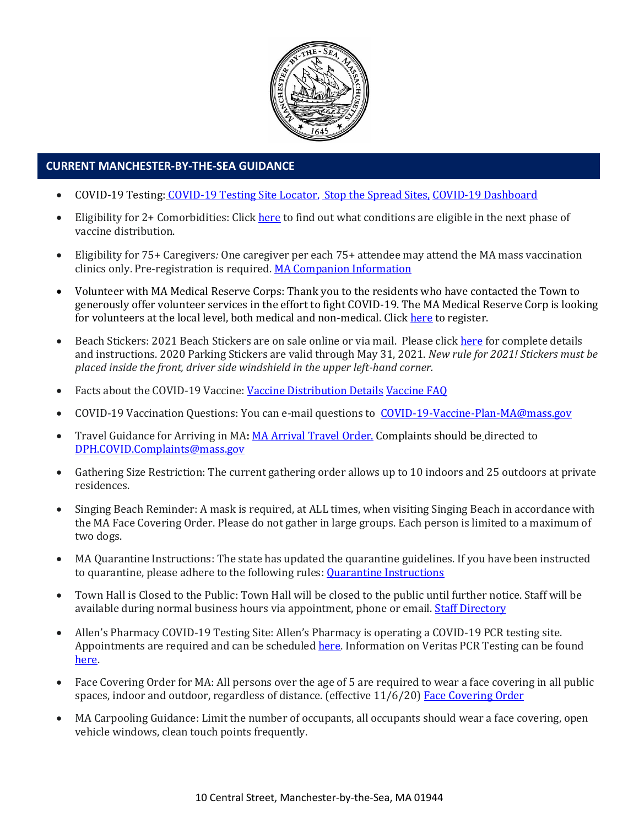

# **CURRENT MANCHESTER-BY-THE-SEA GUIDANCE**

- COVID-19 Testing: [COVID-19 Testing Site Locator,](https://memamaps.maps.arcgis.com/apps/webappviewer/index.html?id=eba3f0395451430b9f631cb095febf13) [Stop the Spread Sites,](https://www.mass.gov/info-details/stop-the-spread) [COVID-19 Dashboard](https://www.mass.gov/info-details/covid-19-response-reporting#covid-19-interactive-data-dashboard-)
- Eligibility for 2+ Comorbidities: Clic[k here](https://www.mass.gov/info-details/covid-19-vaccinations-for-individuals-with-certain-medical-conditions) to find out what conditions are eligible in the next phase of vaccine distribution.
- Eligibility for 75+ Caregivers*:* One caregiver per each 75+ attendee may attend the MA mass vaccination clinics only. Pre-registration is required. [MA Companion Information](http://manchester.ma.us/DocumentCenter/View/3674/COVID19-Vaccine-75-plus-Companion-Information-2102021)
- Volunteer with MA Medical Reserve Corps: Thank you to the residents who have contacted the Town to generously offer volunteer services in the effort to fight COVID-19. The MA Medical Reserve Corp is looking for volunteers at the local level, both medical and non-medical. Clic[k here](https://l.facebook.com/l.php?u=https%3A%2F%2Fwww.mamedicalreservecorps.org%2Fcovid19%3Ffbclid%3DIwAR1O_7U70XMSPe_kbb689S7zAJbCTYavpqNhIz9Ce2s-encj1Mlz3fOmjYI&h=AT3a2b6zxupFiw2RA_9kLVFDLZwmtblukw3wwe3pvVN6YWtLrkwxEyW8Z8S97uuzXDiNt1x4DYp7DeOoXm1U98GjBQQufV4R5eC5sYpFoqMi6iMDgiQu2THu_d0XoA0BnNUMg336NM-KtUxjtQ&__tn__=-UK-R&c%5b0%5d=AT2anP_ULhxU-U55t7AxrMiNTXfNIJnoicfzRyKEGzk_70Dtxb6ttNSKpwftDkeovmenW9ksjPEmhjSrMDjZ_NEMD2Upi_WEREnPIZBLU-8cgapV1WMi5HvUjS0InF_0K4aE4PXV6bei0V79lnY9jSo89LgXHVCMF9u0-PYa4j6cBMOzl7xPt7oB2_WGVQ8cDciW8b9U) to register.
- Beach Stickers: 2021 Beach Stickers are on sale online or via mail. Please clic[k here](http://manchester.ma.us/252/Beach-Resident-Parking-Stickers) for complete details and instructions. 2020 Parking Stickers are valid through May 31, 2021. *New rule for 2021! Stickers must be placed inside the front, driver side windshield in the upper left-hand corner.*
- Facts about the COVID-19 Vaccine: [Vaccine Distribution Details](http://ma-manchesterbythesea.civicplus.com/DocumentCenter/View/3629/StopCOVID19_Need-to-Know_Final_English) [Vaccine FAQ](https://www.mass.gov/info-details/covid-19-vaccine-frequently-asked-questions)
- COVID-19 Vaccination Questions: You can e-mail questions to [COVID-19-Vaccine-Plan-MA@mass.gov](file:///C:/Users/marlettat/Desktop/Public%20Relations/2021/COVID-19-Vaccine-Plan-MA@mass.gov)
- Travel Guidance for Arriving in MA**:** [MA Arrival Travel Order.](https://www.mass.gov/guidance/guidance-for-travelers-arriving-in-the-commonwealth-of-massachusetts) Complaints should be directed to [DPH.COVID.Complaints@mass.gov](mailto:DPH.COVID.Complaints@mass.gov)
- Gathering Size Restriction: The current gathering order allows up to 10 indoors and 25 outdoors at private residences.
- Singing Beach Reminder: A mask is required, at ALL times, when visiting Singing Beach in accordance with the MA Face Covering Order. Please do not gather in large groups. Each person is limited to a maximum of two dogs.
- MA Quarantine Instructions: The state has updated the quarantine guidelines. If you have been instructed to quarantine, please adhere to the following rules: [Quarantine Instructions](http://manchester.ma.us/DocumentCenter/View/3558/14-10-7-day-COVID19_Quarantine-information-1272020)
- Town Hall is Closed to the Public: Town Hall will be closed to the public until further notice. Staff will be available during normal business hours via appointment, phone or email. [Staff Directory](http://manchester.ma.us/directory.aspx)
- Allen's Pharmacy COVID-19 Testing Site: Allen's Pharmacy is operating a COVID-19 PCR testing site. Appointments are required and can be scheduled [here.](https://schedule.veritasgenetics.com/) Information on Veritas PCR Testing can be found [here.](https://www.veritasgenetics.com/covid-molecular/)
- Face Covering Order for MA: All persons over the age of 5 are required to wear a face covering in all public spaces, indoor and outdoor, regardless of distance. (effective 11/6/20) [Face Covering Order](http://manchester.ma.us/DocumentCenter/View/3499/Revised-Face-Coverings-Order-No-55-1?fbclid=IwAR1a7l39TKetEAZ_mA8K6saG2GZ1dRBKA9-xuJJ3tDlAVUGCp7YatZmCKEo)
- MA Carpooling Guidance: Limit the number of occupants, all occupants should wear a face covering, open vehicle windows, clean touch points frequently.